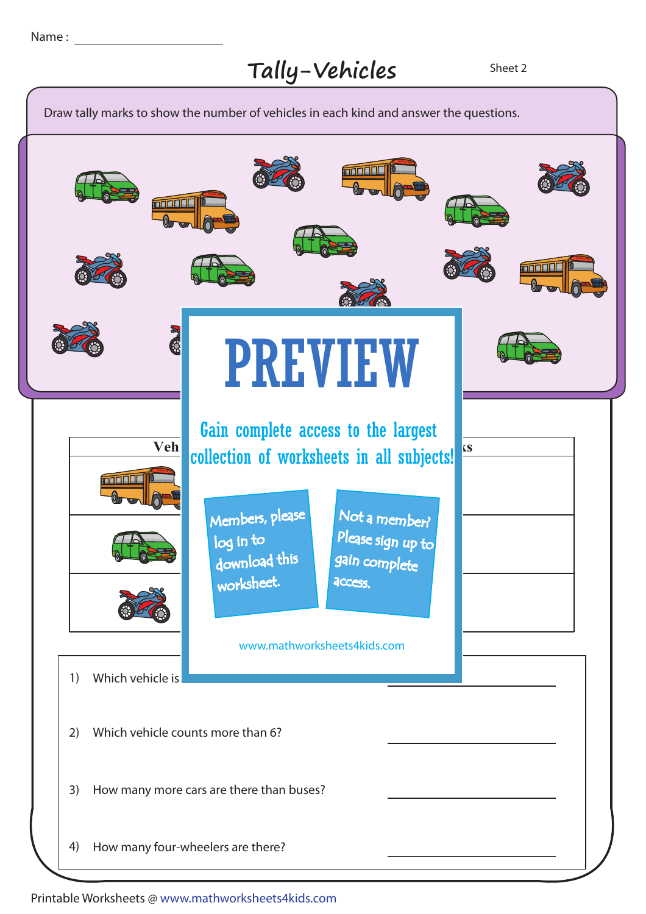